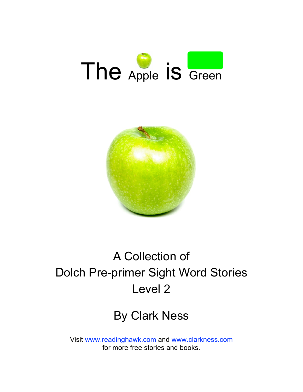



### A Collection of Dolch Pre-primer Sight Word Stories Level 2

#### By Clark Ness

Visit [www.readinghawk.com](http://www.readinghawk.com) and [www.clarkness.com](http://www.clarkness.com) for more free stories and books.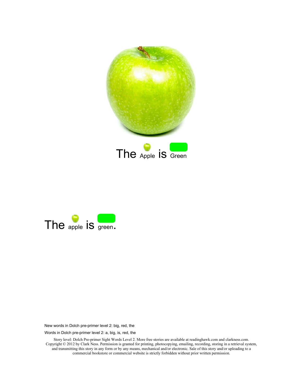



Words in Dolch pre-primer level 2: a, big, is, red, the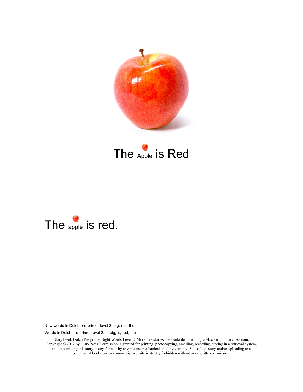

### The Apple is Red



New words in Dolch pre-primer level 2: big, red, the

Words in Dolch pre-primer level 2: a, big, is, red, the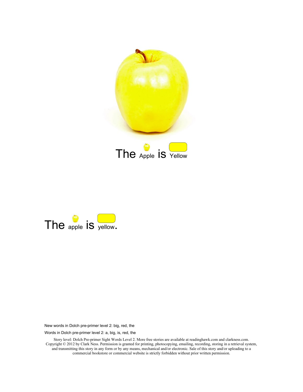



Words in Dolch pre-primer level 2: a, big, is, red, the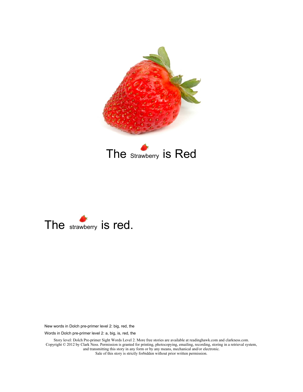

The strawberry is Red



New words in Dolch pre-primer level 2: big, red, the

Words in Dolch pre-primer level 2: a, big, is, red, the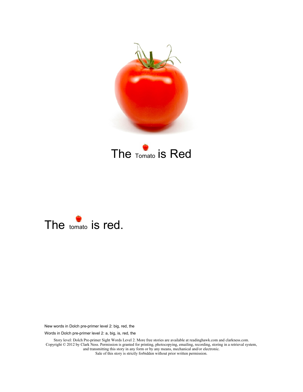

The Tomato is Red



New words in Dolch pre-primer level 2: big, red, the

Words in Dolch pre-primer level 2: a, big, is, red, the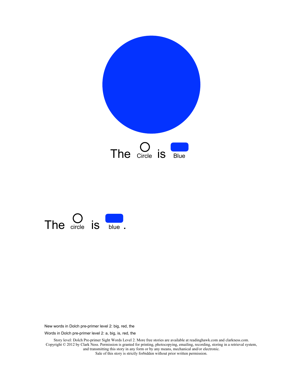



Words in Dolch pre-primer level 2: a, big, is, red, the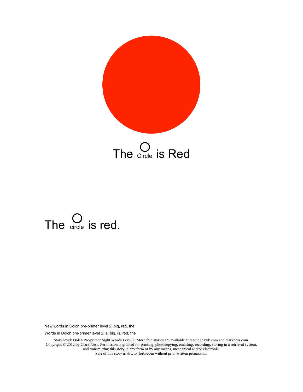

The Circle is Red

## The  $\bigcirc$  is red.

New words in Dolch pre-primer level 2: big, red, the

Words in Dolch pre-primer level 2: a, big, is, red, the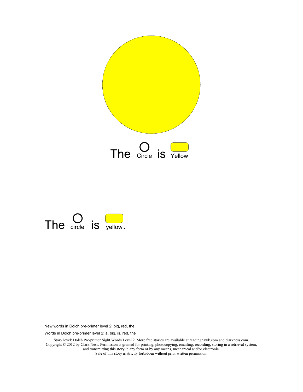



Words in Dolch pre-primer level 2: a, big, is, red, the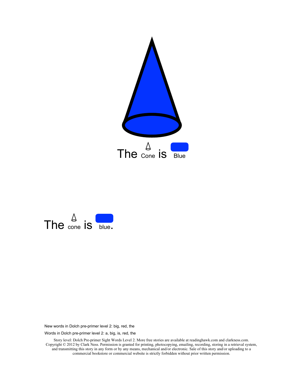



Words in Dolch pre-primer level 2: a, big, is, red, the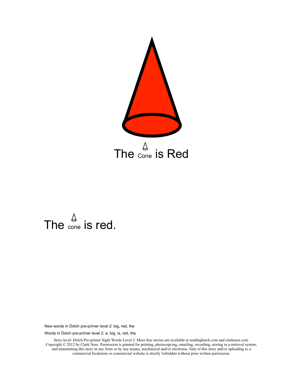



Words in Dolch pre-primer level 2: a, big, is, red, the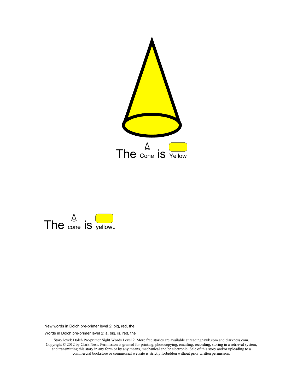



Words in Dolch pre-primer level 2: a, big, is, red, the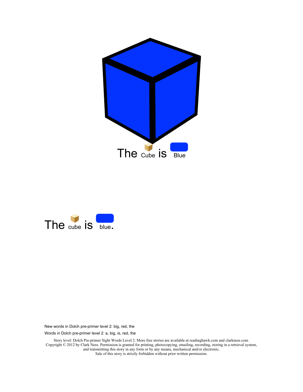



Words in Dolch pre-primer level 2: a, big, is, red, the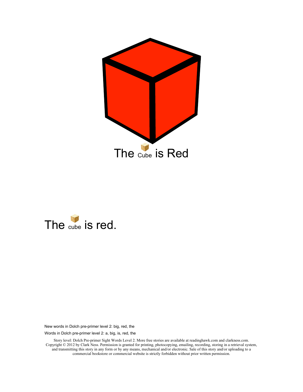



Words in Dolch pre-primer level 2: a, big, is, red, the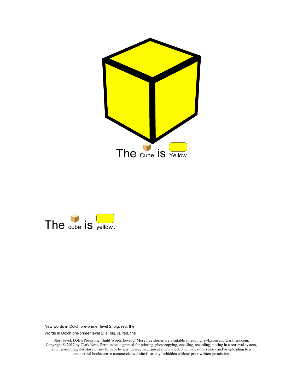



Words in Dolch pre-primer level 2: a, big, is, red, the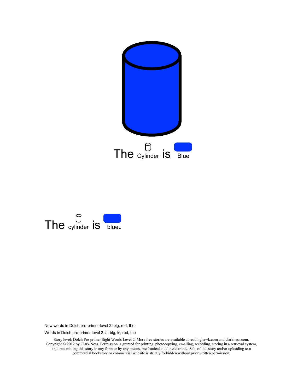



Words in Dolch pre-primer level 2: a, big, is, red, the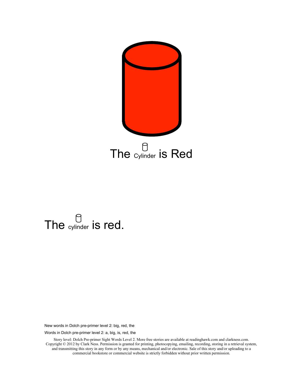

# The cylinder is red.

New words in Dolch pre-primer level 2: big, red, the

Words in Dolch pre-primer level 2: a, big, is, red, the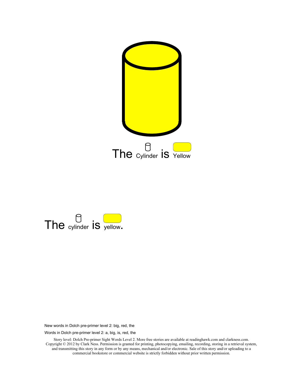



Words in Dolch pre-primer level 2: a, big, is, red, the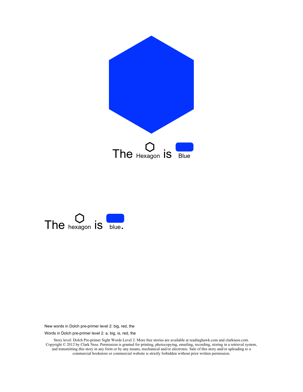



Words in Dolch pre-primer level 2: a, big, is, red, the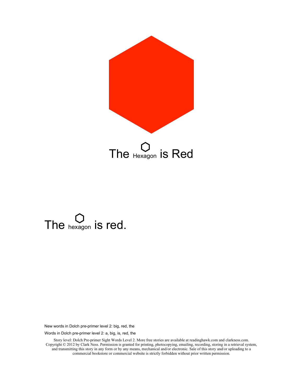



Words in Dolch pre-primer level 2: a, big, is, red, the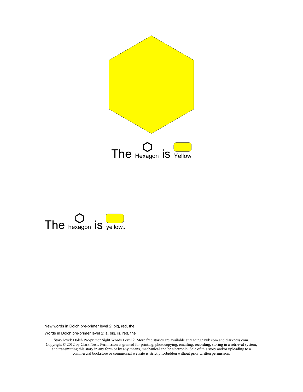



Words in Dolch pre-primer level 2: a, big, is, red, the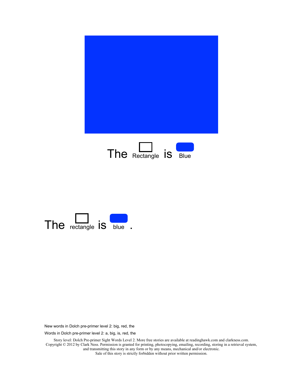



Words in Dolch pre-primer level 2: a, big, is, red, the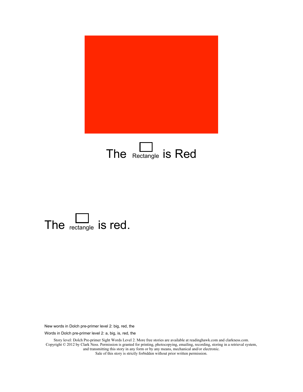

### The  $R$ ectangle is Red



New words in Dolch pre-primer level 2: big, red, the

Words in Dolch pre-primer level 2: a, big, is, red, the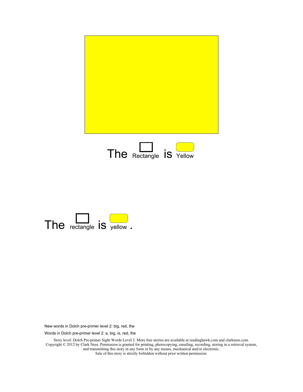



Words in Dolch pre-primer level 2: a, big, is, red, the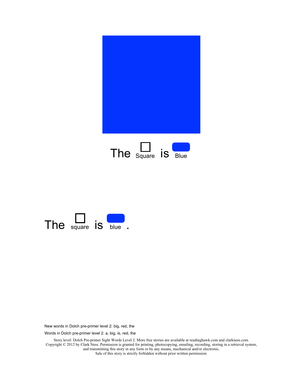



Words in Dolch pre-primer level 2: a, big, is, red, the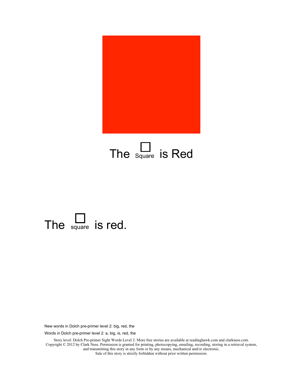

### The  $\sum_{\text{square}}$  is Red



New words in Dolch pre-primer level 2: big, red, the

Words in Dolch pre-primer level 2: a, big, is, red, the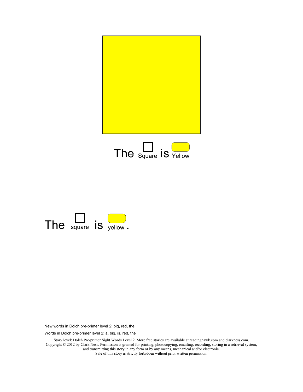





Words in Dolch pre-primer level 2: a, big, is, red, the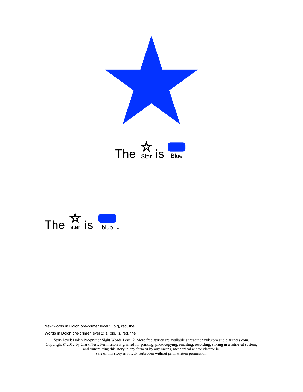



Words in Dolch pre-primer level 2: a, big, is, red, the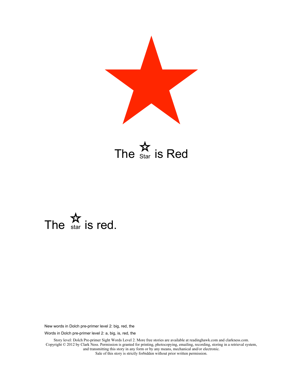





Words in Dolch pre-primer level 2: a, big, is, red, the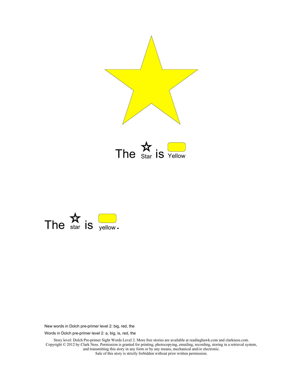

The  $\sum_{\text{Star}}$  is  $\sum_{\text{Yellow}}$ 



Words in Dolch pre-primer level 2: a, big, is, red, the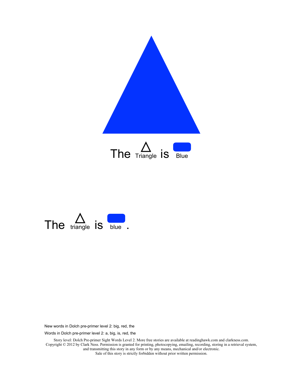



Words in Dolch pre-primer level 2: a, big, is, red, the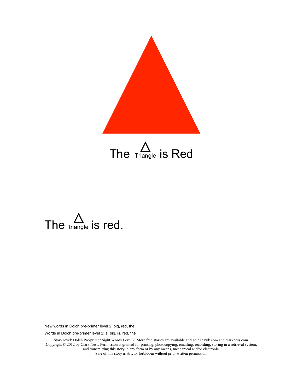

The  $\sum_{\text{triangle}}$  is Red



Words in Dolch pre-primer level 2: a, big, is, red, the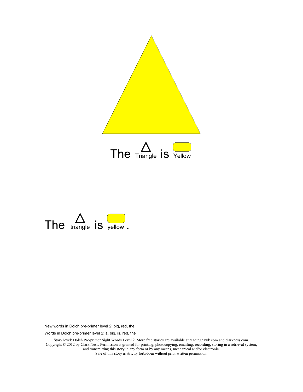



Words in Dolch pre-primer level 2: a, big, is, red, the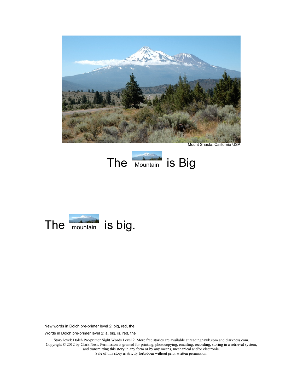

Mount Shasta, California USA





Words in Dolch pre-primer level 2: a, big, is, red, the